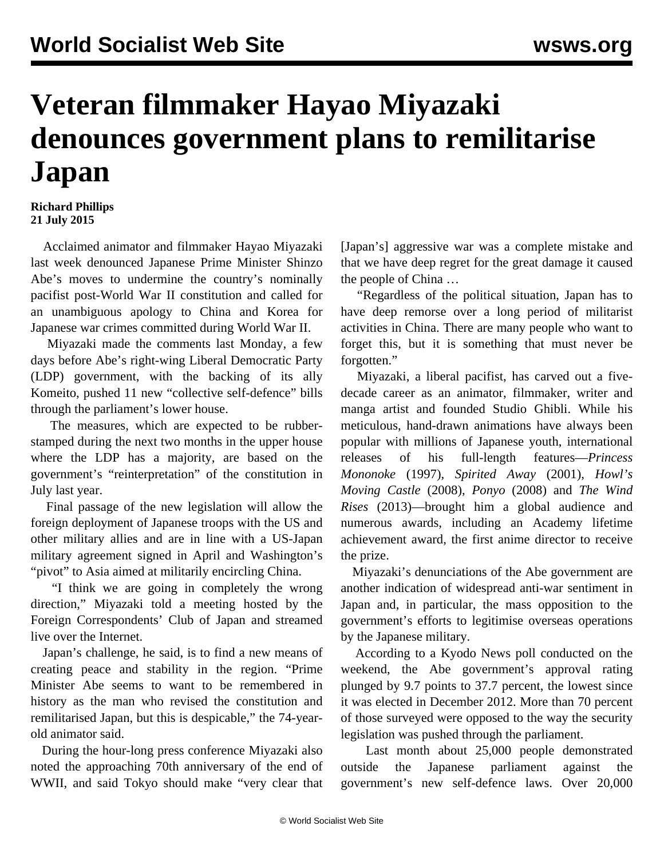## **Veteran filmmaker Hayao Miyazaki denounces government plans to remilitarise Japan**

## **Richard Phillips 21 July 2015**

 Acclaimed animator and filmmaker Hayao Miyazaki last week denounced Japanese Prime Minister Shinzo Abe's moves to undermine the country's nominally pacifist post-World War II constitution and called for an unambiguous apology to China and Korea for Japanese war crimes committed during World War II.

 Miyazaki made the comments last Monday, a few days before Abe's right-wing Liberal Democratic Party (LDP) government, with the backing of its ally Komeito, pushed 11 new "collective self-defence" bills through the parliament's lower house.

 The measures, which are expected to be rubberstamped during the next two months in the upper house where the LDP has a majority, are based on the government's ["reinterpretation](/en/articles/2014/07/03/pers-j03.html)" of the constitution in July last year.

 Final passage of the new legislation will allow the foreign deployment of Japanese troops with the US and other military allies and are in line with a [US-Japan](/en/articles/2015/04/29/usja-a29.html) [military agreement](/en/articles/2015/04/29/usja-a29.html) signed in April and Washington's "pivot" to Asia aimed at militarily encircling China.

 "I think we are going in completely the wrong direction," Miyazaki told a meeting hosted by the Foreign Correspondents' Club of Japan and streamed live over the Internet.

 Japan's challenge, he said, is to find a new means of creating peace and stability in the region. "Prime Minister Abe seems to want to be remembered in history as the man who revised the constitution and remilitarised Japan, but this is despicable," the 74-yearold animator said.

 During the hour-long press conference Miyazaki also noted the approaching 70th anniversary of the end of WWII, and said Tokyo should make "very clear that [Japan's] aggressive war was a complete mistake and that we have deep regret for the great damage it caused the people of China …

 "Regardless of the political situation, Japan has to have deep remorse over a long period of militarist activities in China. There are many people who want to forget this, but it is something that must never be forgotten."

 Miyazaki, a liberal pacifist, has carved out a fivedecade career as an animator, filmmaker, writer and manga artist and founded Studio Ghibli. While his meticulous, hand-drawn animations have always been popular with millions of Japanese youth, international releases of his full-length features—*Princess Mononoke* (1997), *Spirited Away* (2001), *Howl's Moving Castle* (2008), *Ponyo* (2008) and *The Wind Rises* (2013)—brought him a global audience and numerous awards, including an Academy lifetime achievement award, the first anime director to receive the prize.

 Miyazaki's denunciations of the Abe government are another indication of widespread anti-war sentiment in Japan and, in particular, the mass opposition to the government's efforts to legitimise overseas operations by the Japanese military.

 According to a Kyodo News poll conducted on the weekend, the Abe government's approval rating plunged by 9.7 points to 37.7 percent, the lowest since it was elected in December 2012. More than 70 percent of those surveyed were opposed to the way the security legislation was pushed through the parliament.

 Last month about 25,000 people [demonstrated](/en/articles/2015/06/20/japa-j20.html) outside the Japanese parliament against the government's new self-defence laws. Over 20,000